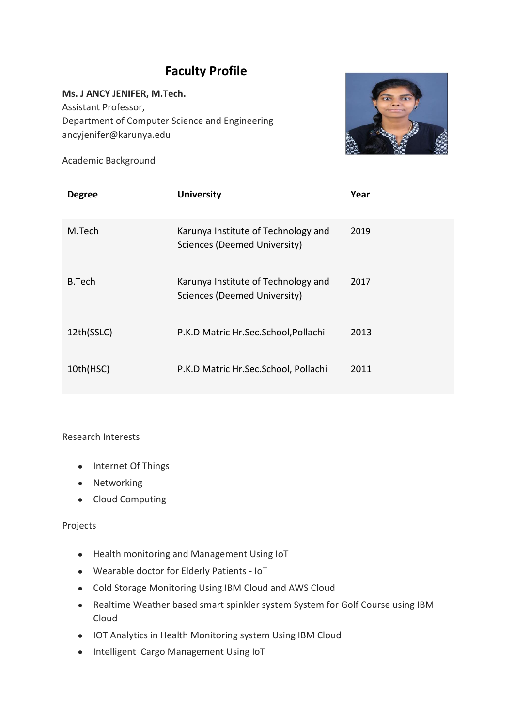# **Faculty Profile**

**Ms. J ANCY JENIFER, M.Tech.**  Assistant Professor, Department of Computer Science and Engineering ancyjenifer@karunya.edu



Academic Background

| <b>Degree</b> | <b>University</b>                                                   | Year |
|---------------|---------------------------------------------------------------------|------|
| M.Tech        | Karunya Institute of Technology and<br>Sciences (Deemed University) | 2019 |
| B.Tech        | Karunya Institute of Technology and<br>Sciences (Deemed University) | 2017 |
| 12th(SSLC)    | P.K.D Matric Hr.Sec.School, Pollachi                                | 2013 |
| 10th(HSC)     | P.K.D Matric Hr.Sec.School, Pollachi                                | 2011 |

## Research Interests

- Internet Of Things
- Networking
- Cloud Computing

## Projects

- Health monitoring and Management Using IoT
- Wearable doctor for Elderly Patients IoT
- Cold Storage Monitoring Using IBM Cloud and AWS Cloud
- Realtime Weather based smart spinkler system System for Golf Course using IBM Cloud
- IOT Analytics in Health Monitoring system Using IBM Cloud
- Intelligent Cargo Management Using IoT